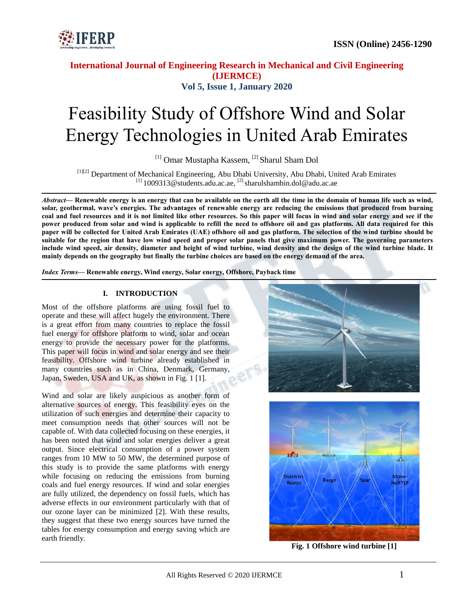

# Feasibility Study of Offshore Wind and Solar Energy Technologies in United Arab Emirates

[1] Omar Mustapha Kassem, [2] Sharul Sham Dol

[1][2] Department of Mechanical Engineering, Abu Dhabi University, Abu Dhabi, United Arab Emirates  $^{[1]}$  1009313@students.adu.ac.ae,  $^{[2]}$  sharulshambin.dol@adu.ac.ae

*Abstract—* **Renewable energy is an energy that can be available on the earth all the time in the domain of human life such as wind, solar, geothermal, wave's energies. The advantages of renewable energy are reducing the emissions that produced from burning coal and fuel resources and it is not limited like other resources. So this paper will focus in wind and solar energy and see if the power produced from solar and wind is applicable to refill the need to offshore oil and gas platforms. All data required for this paper will be collected for United Arab Emirates (UAE) offshore oil and gas platform. The selection of the wind turbine should be suitable for the region that have low wind speed and proper solar panels that give maximum power. The governing parameters include wind speed, air density, diameter and height of wind turbine, wind density and the design of the wind turbine blade. It mainly depends on the geography but finally the turbine choices are based on the energy demand of the area.**

*Index Terms***— Renewable energy, Wind energy, Solar energy, Offshore, Payback time**

### **I. INTRODUCTION**

Most of the offshore platforms are using fossil fuel to operate and these will affect hugely the environment. There is a great effort from many countries to replace the fossil fuel energy for offshore platform to wind, solar and ocean energy to provide the necessary power for the platforms. This paper will focus in wind and solar energy and see their feasibility. Offshore wind turbine already established in many countries such as in China, Denmark, Germany, Japan, Sweden, USA and UK, as shown in Fig. 1 [1].

Wind and solar are likely auspicious as another form of alternative sources of energy. This feasibility eyes on the utilization of such energies and determine their capacity to meet consumption needs that other sources will not be capable of. With data collected focusing on these energies, it has been noted that wind and solar energies deliver a great output. Since electrical consumption of a power system ranges from 10 MW to 50 MW, the determined purpose of this study is to provide the same platforms with energy while focusing on reducing the emissions from burning coals and fuel energy resources. If wind and solar energies are fully utilized, the dependency on fossil fuels, which has adverse effects in our environment particularly with that of our ozone layer can be minimized [2]. With these results, they suggest that these two energy sources have turned the tables for energy consumption and energy saving which are earth friendly.





**Fig. 1 Offshore wind turbine [1]**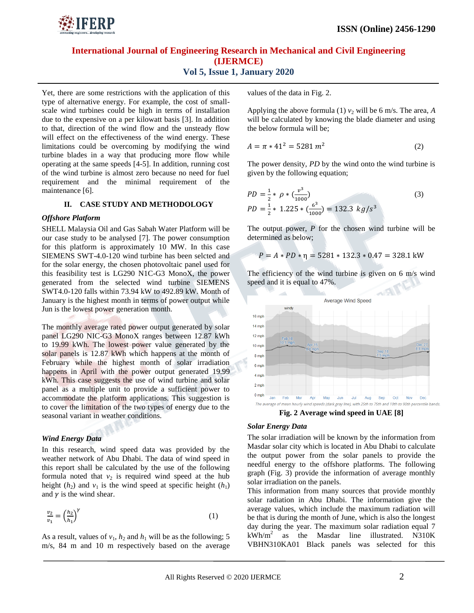

Yet, there are some restrictions with the application of this type of alternative energy. For example, the cost of smallscale wind turbines could be high in terms of installation due to the expensive on a per kilowatt basis [3]. In addition to that, direction of the wind flow and the unsteady flow will effect on the effectiveness of the wind energy. These limitations could be overcoming by modifying the wind turbine blades in a way that producing more flow while operating at the same speeds [4-5]. In addition, running cost of the wind turbine is almost zero because no need for fuel requirement and the minimal requirement of the maintenance [6].

### **II. CASE STUDY AND METHODOLOGY**

#### *Offshore Platform*

SHELL Malaysia Oil and Gas Sabah Water Platform will be our case study to be analysed [7]. The power consumption for this platform is approximately 10 MW. In this case SIEMENS SWT-4.0-120 wind turbine has been selcted and for the solar energy, the chosen photovoltaic panel used for this feasibility test is LG290 N1C-G3 MonoX, the power generated from the selected wind turbine SIEMENS SWT4.0-120 falls within 73.94 kW to 492.89 kW. Month of January is the highest month in terms of power output while Jun is the lowest power generation month.

The monthly average rated power output generated by solar panel LG290 NIC-G3 MonoX ranges between 12.87 kWh to 19.99 kWh. The lowest power value generated by the solar panels is 12.87 kWh which happens at the month of February while the highest month of solar irradiation happens in April with the power output generated 19.99 kWh. This case suggests the use of wind turbine and solar panel as a multiple unit to provide a sufficient power to accommodate the platform applications. This suggestion is to cover the limitation of the two types of energy due to the seasonal variant in weather conditions.

## *Wind Energy Data*

In this research, wind speed data was provided by the weather network of Abu Dhabi. The data of wind speed in this report shall be calculated by the use of the following formula noted that  $v_2$  is required wind speed at the hub height  $(h_2)$  and  $v_1$  is the wind speed at specific height  $(h_1)$ and  $\gamma$  is the wind shear.

$$
\frac{v_2}{v_1} = \left(\frac{h_2}{h_1}\right)^{\gamma}
$$
 (1)

As a result, values of  $v_1$ ,  $h_2$  and  $h_1$  will be as the following; 5 m/s, 84 m and 10 m respectively based on the average values of the data in Fig. 2.

Applying the above formula (1)  $v_2$  will be 6 m/s. The area, *A* will be calculated by knowing the blade diameter and using the below formula will be;

$$
A = \pi * 41^2 = 5281 \, m^2 \tag{2}
$$

The power density, *PD* by the wind onto the wind turbine is given by the following equation;

$$
PD = \frac{1}{2} * \rho * \left(\frac{v^3}{1000}\right)
$$
  
PD =  $\frac{1}{2} * 1.225 * \left(\frac{6^3}{1000}\right) = 132.3 \text{ kg/s}^3$  (3)

The output power, *P* for the chosen wind turbine will be determined as below;

$$
P = A * PD * \eta = 5281 * 132.3 * 0.47 = 328.1 \text{ kW}
$$

The efficiency of the wind turbine is given on 6 m/s wind speed and it is equal to 47%.



**Fig. 2 Average wind speed in UAE [8]**

#### *Solar Energy Data*

The solar irradiation will be known by the information from Masdar solar city which is located in Abu Dhabi to calculate the output power from the solar panels to provide the needful energy to the offshore platforms. The following graph (Fig. 3) provide the information of average monthly solar irradiation on the panels.

This information from many sources that provide monthly solar radiation in Abu Dhabi. The information give the average values, which include the maximum radiation will be that is during the month of June, which is also the longest day during the year. The maximum solar radiation equal 7  $kWh/m^2$  as the Masdar line illustrated. N310K VBHN310KA01 Black panels was selected for this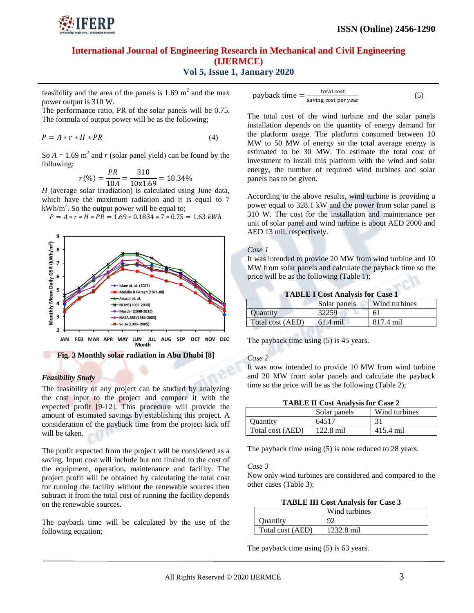

feasibility and the area of the panels is  $1.69 \text{ m}^2$  and the max power output is 310 W.

The performance ratio, PR of the solar panels will be 0.75. The formula of output power will be as the following;

$$
P = A * r * H * PR \tag{4}
$$

So  $A = 1.69$  m<sup>2</sup> and *r* (solar panel yield) can be found by the following;

$$
r(\%) = \frac{PR}{10A} = \frac{310}{10 \times 1.69} = 18.34\%
$$

*H* (average solar irradiation) is calculated using June data, which have the maximum radiation and it is equal to 7  $kWh/m<sup>2</sup>$ . So the output power will be equal to;





#### *Feasibility Study*

The feasibility of any project can be studied by analyzing the cost input to the project and compare it with the expected profit [9-12]. This procedure will provide the amount of estimated savings by establishing this project. A consideration of the payback time from the project kick off will be taken.

The profit expected from the project will be considered as a saving. Input cost will include but not limited to the cost of the equipment, operation, maintenance and facility. The project profit will be obtained by calculating the total cost for running the facility without the renewable sources then subtract it from the total cost of running the facility depends on the renewable sources.

The payback time will be calculated by the use of the following equation;

$$
payback time = \frac{total cost}{saving cost per year}
$$
 (5)

The total cost of the wind turbine and the solar panels installation depends on the quantity of energy demand for the platform usage. The platform consumed between 10 MW to 50 MW of energy so the total average energy is estimated to be 30 MW. To estimate the total cost of investment to install this platform with the wind and solar energy, the number of required wind turbines and solar panels has to be given.

According to the above results, wind turbine is providing a power equal to 328.1 kW and the power from solar panel is 310 W. The cost for the installation and maintenance per unit of solar panel and wind turbine is about AED 2000 and AED 13 mil, respectively.

#### *Case 1*

It was intended to provide 20 MW from wind turbine and 10 MW from solar panels and calculate the payback time so the price will be as the following (Table 1);

| <b>TABLE I Cost Analysis for Case 1</b> |  |  |  |  |  |
|-----------------------------------------|--|--|--|--|--|
|-----------------------------------------|--|--|--|--|--|

|                  | Solar panels | Wind turbines |
|------------------|--------------|---------------|
| <b>Ouantity</b>  | 32259        | 61            |
| Total cost (AED) | $61.4$ mil   | 817.4 mil     |

The payback time using (5) is 45 years.

#### *Case 2*

It was now intended to provide 10 MW from wind turbine and 20 MW from solar panels and calculate the payback time so the price will be as the following (Table 2);

| <b>TABLE II Cost Analysis for Case 2</b> |                     |               |  |
|------------------------------------------|---------------------|---------------|--|
|                                          | Solar panels        | Wind turbines |  |
| <b>Ouantity</b>                          | 64517               | 31            |  |
| Total cost (AED)                         | $122.8 \text{ mil}$ | 415.4 mil     |  |

The payback time using (5) is now reduced to 28 years.

*Case 3*

Now only wind turbines are considered and compared to the other cases (Table 3);

**TABLE III Cost Analysis for Case 3**

|                  | Wind turbines |
|------------------|---------------|
| Ouantity         |               |
| Total cost (AED) | 1232.8 mil    |

The payback time using (5) is 63 years.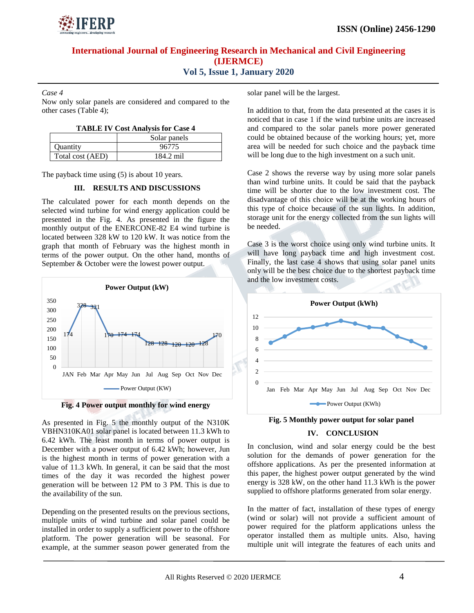

*Case 4*

Now only solar panels are considered and compared to the other cases (Table 4);

| <b>TABLE IV Cost Analysis for Case 4</b> |  |  |  |  |  |  |
|------------------------------------------|--|--|--|--|--|--|
|------------------------------------------|--|--|--|--|--|--|

|                  | Solar panels |
|------------------|--------------|
| <b>Ouantity</b>  | 96775        |
| Total cost (AED) | 184.2 mil    |

The payback time using (5) is about 10 years.

#### **III. RESULTS AND DISCUSSIONS**

The calculated power for each month depends on the selected wind turbine for wind energy application could be presented in the Fig. 4. As presented in the figure the monthly output of the ENERCONE-82 E4 wind turbine is located between 328 kW to 120 kW. It was notice from the graph that month of February was the highest month in terms of the power output. On the other hand, months of September & October were the lowest power output.



**Fig. 4 Power output monthly for wind energy**

As presented in Fig. 5 the monthly output of the N310K VBHN310KA01 solar panel is located between 11.3 kWh to 6.42 kWh. The least month in terms of power output is December with a power output of 6.42 kWh; however, Jun is the highest month in terms of power generation with a value of 11.3 kWh. In general, it can be said that the most times of the day it was recorded the highest power generation will be between 12 PM to 3 PM. This is due to the availability of the sun.

Depending on the presented results on the previous sections, multiple units of wind turbine and solar panel could be installed in order to supply a sufficient power to the offshore platform. The power generation will be seasonal. For example, at the summer season power generated from the solar panel will be the largest.

In addition to that, from the data presented at the cases it is noticed that in case 1 if the wind turbine units are increased and compared to the solar panels more power generated could be obtained because of the working hours; yet, more area will be needed for such choice and the payback time will be long due to the high investment on a such unit.

Case 2 shows the reverse way by using more solar panels than wind turbine units. It could be said that the payback time will be shorter due to the low investment cost. The disadvantage of this choice will be at the working hours of this type of choice because of the sun lights. In addition, storage unit for the energy collected from the sun lights will be needed.

Case 3 is the worst choice using only wind turbine units. It will have long payback time and high investment cost. Finally, the last case 4 shows that using solar panel units only will be the best choice due to the shortest payback time and the low investment costs.





#### **IV. CONCLUSION**

In conclusion, wind and solar energy could be the best solution for the demands of power generation for the offshore applications. As per the presented information at this paper, the highest power output generated by the wind energy is 328 kW, on the other hand 11.3 kWh is the power supplied to offshore platforms generated from solar energy.

In the matter of fact, installation of these types of energy (wind or solar) will not provide a sufficient amount of power required for the platform applications unless the operator installed them as multiple units. Also, having multiple unit will integrate the features of each units and